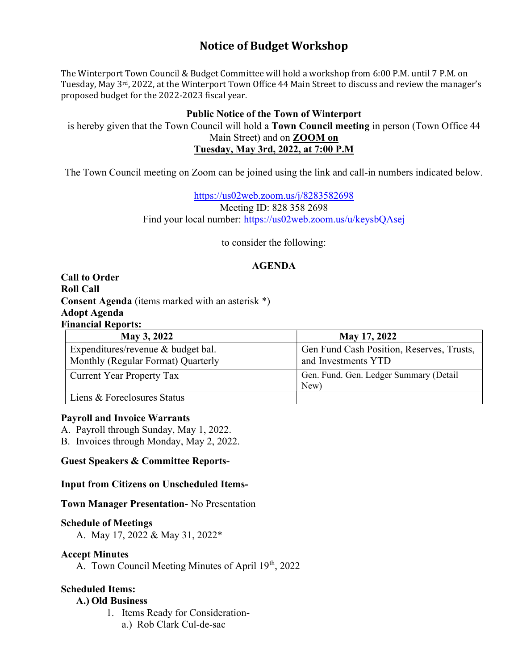# Notice of Budget Workshop

The Winterport Town Council & Budget Committee will hold a workshop from 6:00 P.M. until 7 P.M. on Tuesday, May 3rd, 2022, at the Winterport Town Office 44 Main Street to discuss and review the manager's proposed budget for the 2022-2023 fiscal year.

#### Public Notice of the Town of Winterport

is hereby given that the Town Council will hold a Town Council meeting in person (Town Office 44 Main Street) and on ZOOM on Tuesday, May 3rd, 2022, at 7:00 P.M

The Town Council meeting on Zoom can be joined using the link and call-in numbers indicated below.

https://us02web.zoom.us/j/8283582698 Meeting ID: 828 358 2698 Find your local number: https://us02web.zoom.us/u/keysbQAsej

to consider the following:

## AGENDA

Call to Order Roll Call Consent Agenda (items marked with an asterisk \*) Adopt Agenda Financial Reports:

| May 3, 2022                                                              | May 17, 2022                                                     |
|--------------------------------------------------------------------------|------------------------------------------------------------------|
| Expenditures/revenue & budget bal.<br>Monthly (Regular Format) Quarterly | Gen Fund Cash Position, Reserves, Trusts,<br>and Investments YTD |
| <b>Current Year Property Tax</b>                                         | Gen. Fund. Gen. Ledger Summary (Detail<br>New)                   |
| Liens & Foreclosures Status                                              |                                                                  |

#### Payroll and Invoice Warrants

A. Payroll through Sunday, May 1, 2022.

B. Invoices through Monday, May 2, 2022.

#### Guest Speakers & Committee Reports-

#### Input from Citizens on Unscheduled Items-

Town Manager Presentation- No Presentation

#### Schedule of Meetings

A. May 17, 2022 & May 31, 2022\*

#### Accept Minutes

A. Town Council Meeting Minutes of April 19<sup>th</sup>, 2022

## Scheduled Items:

#### A.) Old Business

1. Items Ready for Considerationa.) Rob Clark Cul-de-sac